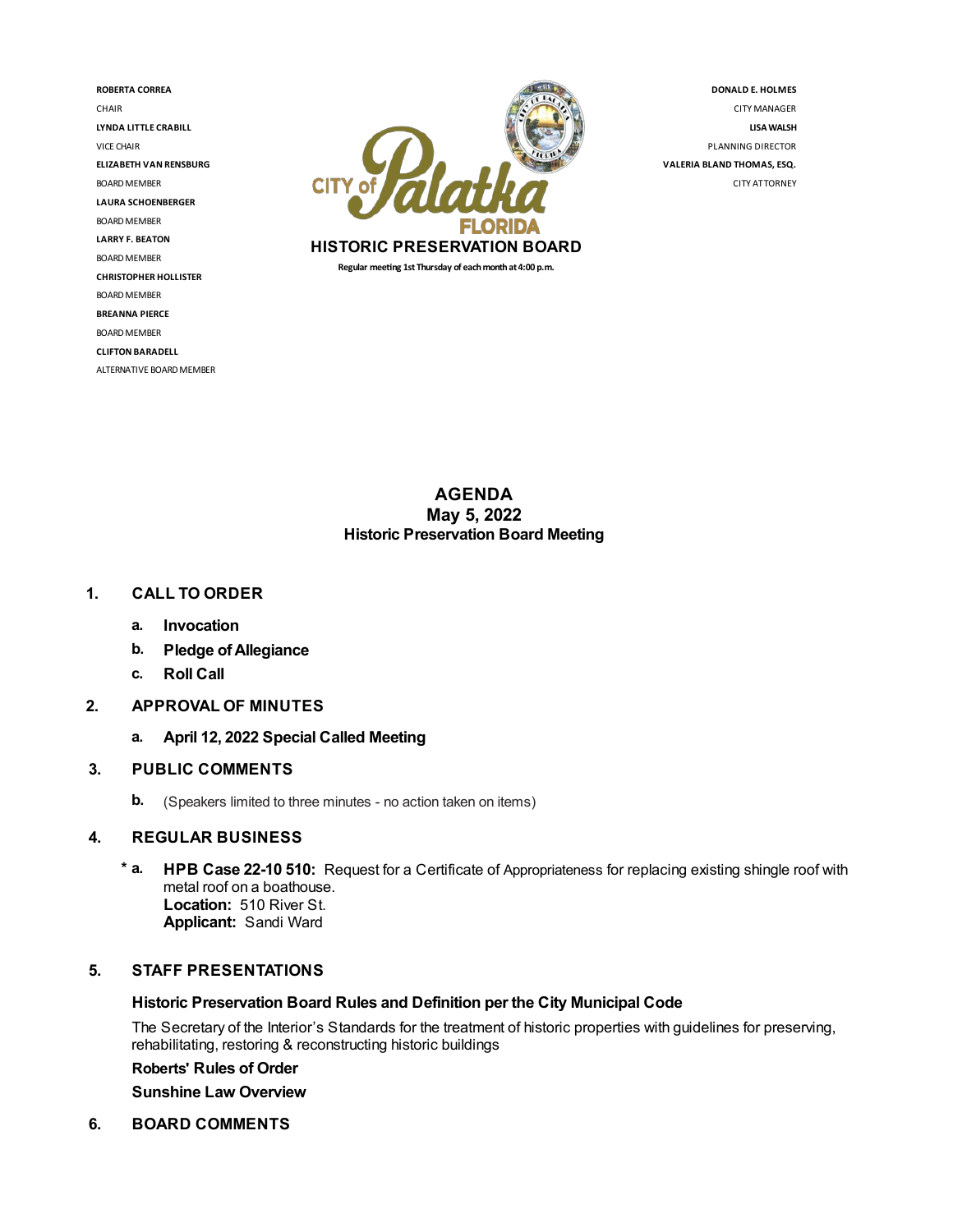**ROBERTA CORREA** CHAIR **LYNDA LITTLE CRABILL** VICE CHAIR **ELIZABETH VAN RENSBURG BOARD MEMBER LAURA SCHOENBERGER** BOARD MEMBER **LARRY F. BEATON** BOARD MEMBER **CHRISTOPHER HOLLISTER** BOARD MEMBER **BREANNA PIERCE** BOARD MEMBER **CLIFTON BARADELL** ALTERNATIVE BOARD MEMBER



**DONALD E. HOLMES** CITYMANAGER **LISAWALSH** PLANNING DIRECTOR **VALERIA BLAND THOMAS,ESQ.** CITY ATTORNEY

## **AGENDA May 5, 2022 Historic Preservation Board Meeting**

## **1. CALL TO ORDER**

- **a. Invocation**
- **b. Pledge ofAllegiance**
- **c. Roll Call**
- **2. APPROVAL OF MINUTES**
	- **a. April 12, 2022 Special Called Meeting**

## **3. PUBLIC COMMENTS**

**b.** (Speakers limited to three minutes - no action taken on items)

## **4. REGULAR BUSINESS**

**\* a. HPB Case 22-10 510:** Request for a Certificate of Appropriateness for replacing existing shingle roof with metal roof on a boathouse. **Location:** 510 River St. **Applicant:** Sandi Ward

### **5. STAFF PRESENTATIONS**

### **Historic Preservation Board Rules and Definition per the City Municipal Code**

The Secretary of the Interior's Standards for the treatment of historic properties with guidelines for preserving, rehabilitating, restoring & reconstructing historic buildings

### **Roberts' Rules of Order**

**Sunshine Law Overview**

**6. BOARD COMMENTS**